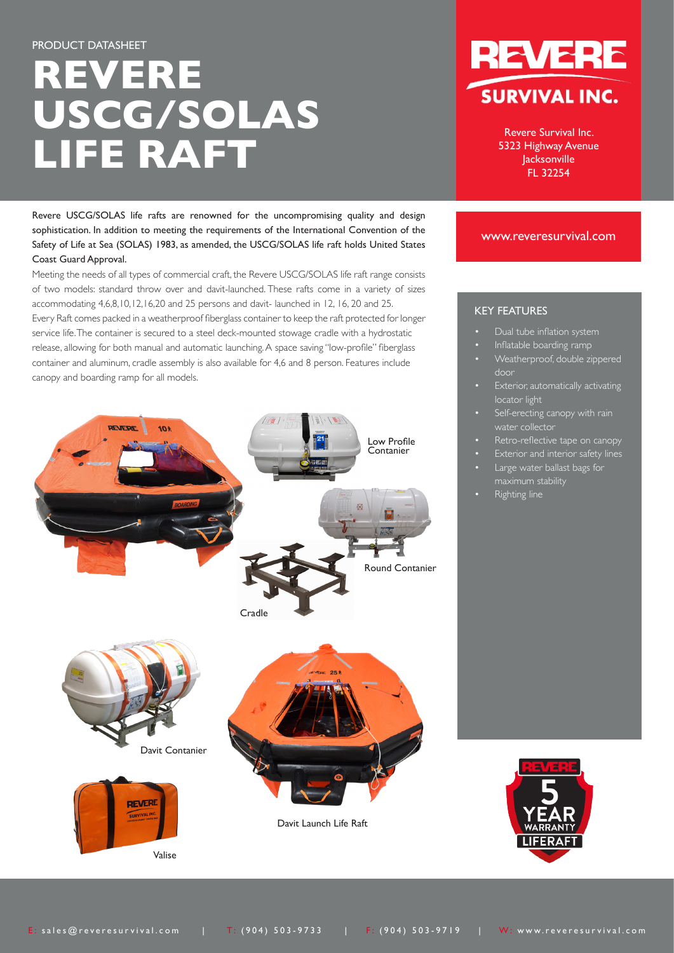# **REVERE USCG/SOLAS LIFE RAFT**

Revere USCG/SOLAS life rafts are renowned for the uncompromising quality and design sophistication. In addition to meeting the requirements of the International Convention of the Safety of Life at Sea (SOLAS) 1983, as amended, the USCG/SOLAS life raft holds United States Coast Guard Approval.

Meeting the needs of all types of commercial craft, the Revere USCG/SOLAS life raft range consists of two models: standard throw over and davit-launched. These rafts come in a variety of sizes accommodating 4,6,8,10,12,16,20 and 25 persons and davit- launched in 12, 16, 20 and 25. Every Raft comes packed in a weatherproof fiberglass container to keep the raft protected for longer service life. The container is secured to a steel deck-mounted stowage cradle with a hydrostatic release, allowing for both manual and automatic launching. A space saving "low-profile" fiberglass container and aluminum, cradle assembly is also available for 4,6 and 8 person. Features include canopy and boarding ramp for all models.





Revere Survival Inc. 5323 Highway Avenue Jacksonville FL 32254

### www.reveresurvival.com

## KEY FEATURES

- Dual tube inflation system
- Inflatable boarding ramp
- Weatherproof, double zippered door
- **Exterior, automatically activating** locator light
- Self-erecting canopy with rain water collector
- Retro-reflective tape on canopy
- **Exterior and interior safety lines**
- Large water ballast bags for
- Righting line